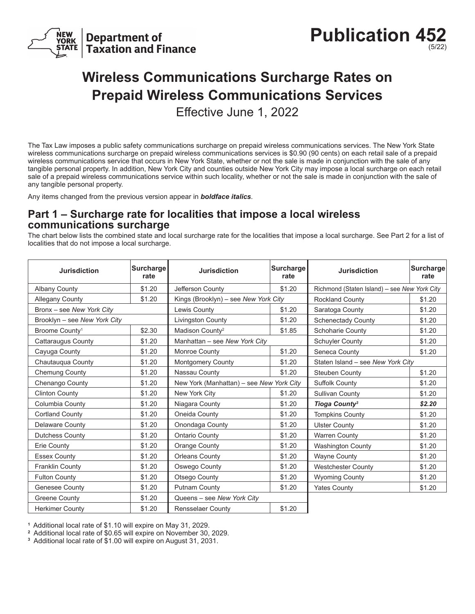

**Publication 45** (5/22)

## **Wireless Communications Surcharge Rates on Prepaid Wireless Communications Services**

Effective June 1, 2022

The Tax Law imposes a public safety communications surcharge on prepaid wireless communications services. The New York State wireless communications surcharge on prepaid wireless communications services is \$0.90 (90 cents) on each retail sale of a prepaid wireless communications service that occurs in New York State, whether or not the sale is made in conjunction with the sale of any tangible personal property. In addition, New York City and counties outside New York City may impose a local surcharge on each retail sale of a prepaid wireless communications service within such locality, whether or not the sale is made in conjunction with the sale of any tangible personal property.

Any items changed from the previous version appear in *boldface italics*.

## **Part 1 – Surcharge rate for localities that impose a local wireless communications surcharge**

The chart below lists the combined state and local surcharge rate for the localities that impose a local surcharge. See Part 2 for a list of localities that do not impose a local surcharge.

| <b>Jurisdiction</b>          | <b>Surcharge</b><br>rate | <b>Jurisdiction</b>                      | Surcharge<br>rate | <b>Jurisdiction</b>                          | <b>Surcharge</b><br>rate |
|------------------------------|--------------------------|------------------------------------------|-------------------|----------------------------------------------|--------------------------|
| <b>Albany County</b>         | \$1.20                   | Jefferson County                         | \$1.20            | Richmond (Staten Island) - see New York City |                          |
| Allegany County              | \$1.20                   | Kings (Brooklyn) - see New York City     |                   | <b>Rockland County</b>                       | \$1.20                   |
| Bronx - see New York City    |                          | Lewis County                             | \$1.20            | Saratoga County                              | \$1.20                   |
| Brooklyn - see New York City |                          | <b>Livingston County</b>                 | \$1.20            | <b>Schenectady County</b>                    | \$1.20                   |
| Broome County <sup>1</sup>   | \$2.30                   | Madison County <sup>2</sup>              | \$1.85            | <b>Schoharie County</b>                      | \$1.20                   |
| Cattaraugus County           | \$1.20                   | Manhattan - see New York City            |                   | Schuyler County                              | \$1.20                   |
| Cayuga County                | \$1.20                   | Monroe County                            | \$1.20            | Seneca County                                | \$1.20                   |
| Chautauqua County            | \$1.20                   | Montgomery County                        | \$1.20            | Staten Island - see New York City            |                          |
| Chemung County               | \$1.20                   | Nassau County                            | \$1.20            | <b>Steuben County</b>                        | \$1.20                   |
| Chenango County              | \$1.20                   | New York (Manhattan) - see New York City |                   | Suffolk County                               | \$1.20                   |
| <b>Clinton County</b>        | \$1.20                   | New York City                            | \$1.20            | <b>Sullivan County</b>                       | \$1.20                   |
| Columbia County              | \$1.20                   | Niagara County                           | \$1.20            | <b>Tioga County<sup>3</sup></b>              | \$2.20                   |
| <b>Cortland County</b>       | \$1.20                   | Oneida County                            | \$1.20            | <b>Tompkins County</b>                       | \$1.20                   |
| <b>Delaware County</b>       | \$1.20                   | Onondaga County                          | \$1.20            | <b>Ulster County</b>                         | \$1.20                   |
| <b>Dutchess County</b>       | \$1.20                   | <b>Ontario County</b>                    | \$1.20            | <b>Warren County</b>                         | \$1.20                   |
| Erie County                  | \$1.20                   | Orange County                            | \$1.20            | <b>Washington County</b>                     | \$1.20                   |
| <b>Essex County</b>          | \$1.20                   | <b>Orleans County</b>                    | \$1.20            | <b>Wayne County</b>                          | \$1.20                   |
| <b>Franklin County</b>       | \$1.20                   | Oswego County                            | \$1.20            | <b>Westchester County</b>                    | \$1.20                   |
| <b>Fulton County</b>         | \$1.20                   | Otsego County                            | \$1.20            | <b>Wyoming County</b>                        | \$1.20                   |
| Genesee County               | \$1.20                   | <b>Putnam County</b>                     | \$1.20            | <b>Yates County</b>                          | \$1.20                   |
| <b>Greene County</b>         | \$1.20                   | Queens - see New York City               |                   |                                              |                          |
| <b>Herkimer County</b>       | \$1.20                   | <b>Rensselaer County</b>                 | \$1.20            |                                              |                          |

**<sup>1</sup>** Additional local rate of \$1.10 will expire on May 31, 2029.

**2** Additional local rate of \$0.65 will expire on November 30, 2029.

**3** Additional local rate of \$1.00 will expire on August 31, 2031.